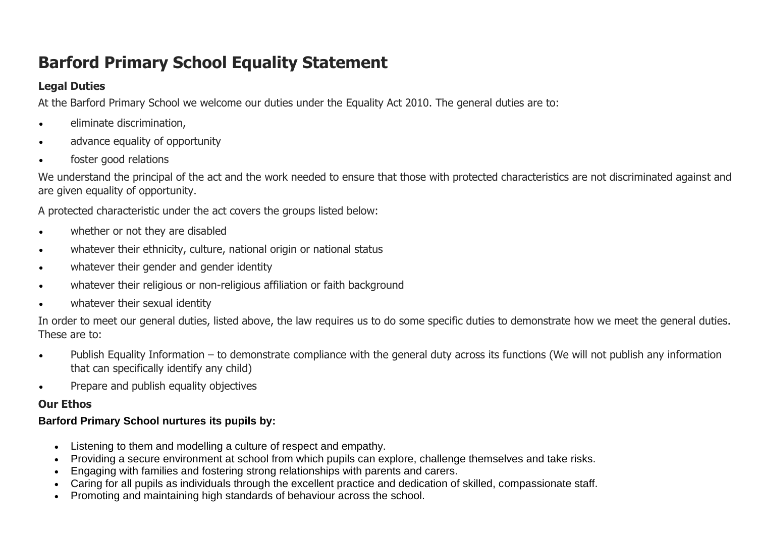# **Barford Primary School Equality Statement**

## **Legal Duties**

At the Barford Primary School we welcome our duties under the Equality Act 2010. The general duties are to:

- eliminate discrimination,
- advance equality of opportunity
- foster good relations

We understand the principal of the act and the work needed to ensure that those with protected characteristics are not discriminated against and are given equality of opportunity.

A protected characteristic under the act covers the groups listed below:

- whether or not they are disabled
- whatever their ethnicity, culture, national origin or national status
- whatever their gender and gender identity
- whatever their religious or non-religious affiliation or faith background
- whatever their sexual identity

In order to meet our general duties, listed above, the law requires us to do some specific duties to demonstrate how we meet the general duties. These are to:

- Publish Equality Information to demonstrate compliance with the general duty across its functions (We will not publish any information that can specifically identify any child)
- Prepare and publish equality objectives

### **Our Ethos**

### **Barford Primary School nurtures its pupils by:**

- Listening to them and modelling a culture of respect and empathy.
- Providing a secure environment at school from which pupils can explore, challenge themselves and take risks.
- Engaging with families and fostering strong relationships with parents and carers.
- Caring for all pupils as individuals through the excellent practice and dedication of skilled, compassionate staff.
- Promoting and maintaining high standards of behaviour across the school.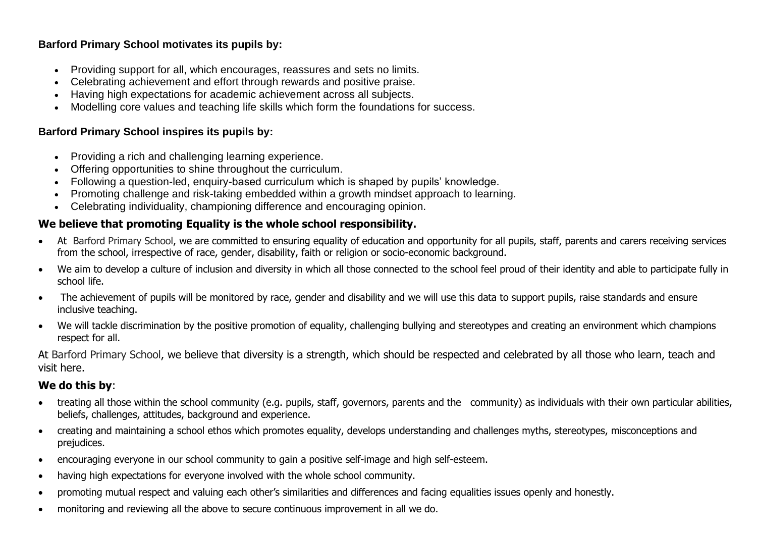#### **Barford Primary School motivates its pupils by:**

- Providing support for all, which encourages, reassures and sets no limits.
- Celebrating achievement and effort through rewards and positive praise.
- Having high expectations for academic achievement across all subjects.
- Modelling core values and teaching life skills which form the foundations for success.

#### **Barford Primary School inspires its pupils by:**

- Providing a rich and challenging learning experience.
- Offering opportunities to shine throughout the curriculum.
- Following a question-led, enquiry-based curriculum which is shaped by pupils' knowledge.
- Promoting challenge and risk-taking embedded within a growth mindset approach to learning.
- Celebrating individuality, championing difference and encouraging opinion.

#### **We believe that promoting Equality is the whole school responsibility.**

- At Barford Primary School, we are committed to ensuring equality of education and opportunity for all pupils, staff, parents and carers receiving services from the school, irrespective of race, gender, disability, faith or religion or socio-economic background.
- We aim to develop a culture of inclusion and diversity in which all those connected to the school feel proud of their identity and able to participate fully in school life.
- The achievement of pupils will be monitored by race, gender and disability and we will use this data to support pupils, raise standards and ensure inclusive teaching.
- We will tackle discrimination by the positive promotion of equality, challenging bullying and stereotypes and creating an environment which champions respect for all.

At Barford Primary School, we believe that diversity is a strength, which should be respected and celebrated by all those who learn, teach and visit here.

#### **We do this by**:

- treating all those within the school community (e.g. pupils, staff, governors, parents and the community) as individuals with their own particular abilities, beliefs, challenges, attitudes, background and experience.
- creating and maintaining a school ethos which promotes equality, develops understanding and challenges myths, stereotypes, misconceptions and prejudices.
- encouraging everyone in our school community to gain a positive self-image and high self-esteem.
- having high expectations for everyone involved with the whole school community.
- promoting mutual respect and valuing each other's similarities and differences and facing equalities issues openly and honestly.
- monitoring and reviewing all the above to secure continuous improvement in all we do.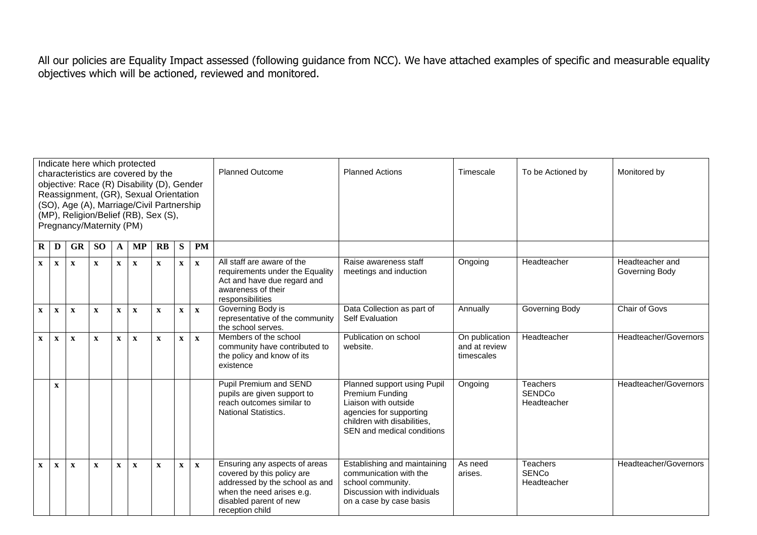All our policies are Equality Impact assessed (following guidance from NCC). We have attached examples of specific and measurable equality objectives which will be actioned, reviewed and monitored.

| Indicate here which protected<br>characteristics are covered by the<br>objective: Race (R) Disability (D), Gender<br>Reassignment, (GR), Sexual Orientation<br>(SO), Age (A), Marriage/Civil Partnership<br>(MP), Religion/Belief (RB), Sex (S),<br>Pregnancy/Maternity (PM) |              |              |              |              |              |              |              |              |              | <b>Planned Outcome</b>                                                                                                                                                  | <b>Planned Actions</b>                                                                                                                                                | Timescale                                     | To be Actioned by                               | Monitored by                      |
|------------------------------------------------------------------------------------------------------------------------------------------------------------------------------------------------------------------------------------------------------------------------------|--------------|--------------|--------------|--------------|--------------|--------------|--------------|--------------|--------------|-------------------------------------------------------------------------------------------------------------------------------------------------------------------------|-----------------------------------------------------------------------------------------------------------------------------------------------------------------------|-----------------------------------------------|-------------------------------------------------|-----------------------------------|
| <b>PM</b><br><b>GR</b><br><b>SO</b><br>$\mathbf{R}$<br>S<br>$R$   D<br><b>MP</b><br>A                                                                                                                                                                                        |              |              |              |              |              |              |              |              |              |                                                                                                                                                                         |                                                                                                                                                                       |                                               |                                                 |                                   |
|                                                                                                                                                                                                                                                                              | $\mathbf X$  | $\mathbf X$  | $\mathbf X$  | $\mathbf{x}$ | $\mathbf{X}$ | $\mathbf{X}$ | $\mathbf{x}$ | $\mathbf X$  | $\mathbf{x}$ | All staff are aware of the<br>requirements under the Equality<br>Act and have due regard and<br>awareness of their<br>responsibilities                                  | Raise awareness staff<br>meetings and induction                                                                                                                       | Ongoing                                       | Headteacher                                     | Headteacher and<br>Governing Body |
|                                                                                                                                                                                                                                                                              | $\mathbf{x}$ | $\mathbf{x}$ | $\mathbf X$  | $\mathbf X$  | $\mathbf x$  | $\mathbf{x}$ | $\mathbf X$  | $\mathbf{X}$ | $\mathbf{x}$ | Governing Body is<br>representative of the community<br>the school serves.                                                                                              | Data Collection as part of<br><b>Self Evaluation</b>                                                                                                                  | Annually                                      | Governing Body                                  | Chair of Govs                     |
|                                                                                                                                                                                                                                                                              | $\mathbf{x}$ | $\mathbf{x}$ | $\mathbf{x}$ | $\mathbf{x}$ | $\mathbf{x}$ | $\mathbf{x}$ | $\mathbf X$  | $\mathbf{x}$ | $\mathbf{x}$ | Members of the school<br>community have contributed to<br>the policy and know of its<br>existence                                                                       | Publication on school<br>website.                                                                                                                                     | On publication<br>and at review<br>timescales | Headteacher                                     | Headteacher/Governors             |
|                                                                                                                                                                                                                                                                              |              | $\mathbf X$  |              |              |              |              |              |              |              | Pupil Premium and SEND<br>pupils are given support to<br>reach outcomes similar to<br><b>National Statistics.</b>                                                       | Planned support using Pupil<br><b>Premium Funding</b><br>Liaison with outside<br>agencies for supporting<br>children with disabilities,<br>SEN and medical conditions | Ongoing                                       | <b>Teachers</b><br><b>SENDCo</b><br>Headteacher | Headteacher/Governors             |
|                                                                                                                                                                                                                                                                              | $\mathbf X$  | $\mathbf x$  | $\mathbf{x}$ | $\mathbf{x}$ | $\mathbf x$  | $\mathbf x$  | $\mathbf{x}$ | $\mathbf{x}$ | $\mathbf{x}$ | Ensuring any aspects of areas<br>covered by this policy are<br>addressed by the school as and<br>when the need arises e.g.<br>disabled parent of new<br>reception child | Establishing and maintaining<br>communication with the<br>school community.<br>Discussion with individuals<br>on a case by case basis                                 | As need<br>arises.                            | <b>Teachers</b><br><b>SENCo</b><br>Headteacher  | Headteacher/Governors             |